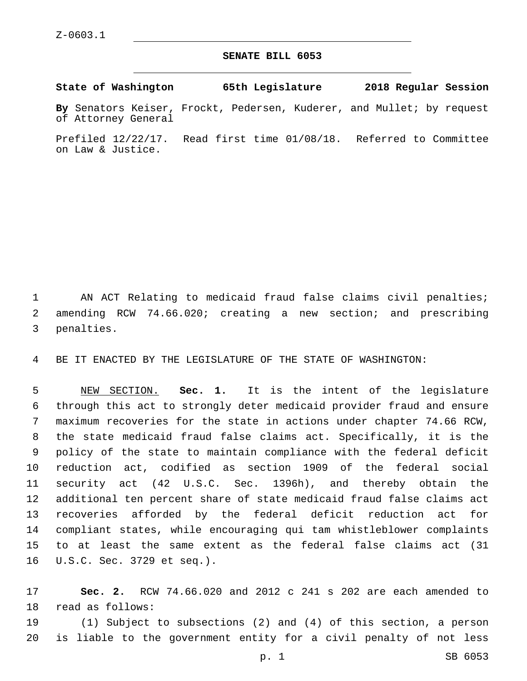## **SENATE BILL 6053**

**State of Washington 65th Legislature 2018 Regular Session**

**By** Senators Keiser, Frockt, Pedersen, Kuderer, and Mullet; by request of Attorney General

Prefiled 12/22/17. Read first time 01/08/18. Referred to Committee on Law & Justice.

1 AN ACT Relating to medicaid fraud false claims civil penalties; amending RCW 74.66.020; creating a new section; and prescribing 3 penalties.

BE IT ENACTED BY THE LEGISLATURE OF THE STATE OF WASHINGTON:

 NEW SECTION. **Sec. 1.** It is the intent of the legislature through this act to strongly deter medicaid provider fraud and ensure maximum recoveries for the state in actions under chapter 74.66 RCW, the state medicaid fraud false claims act. Specifically, it is the policy of the state to maintain compliance with the federal deficit reduction act, codified as section 1909 of the federal social security act (42 U.S.C. Sec. 1396h), and thereby obtain the additional ten percent share of state medicaid fraud false claims act recoveries afforded by the federal deficit reduction act for compliant states, while encouraging qui tam whistleblower complaints to at least the same extent as the federal false claims act (31 U.S.C. Sec. 3729 et seq.).

 **Sec. 2.** RCW 74.66.020 and 2012 c 241 s 202 are each amended to 18 read as follows:

 (1) Subject to subsections (2) and (4) of this section, a person is liable to the government entity for a civil penalty of not less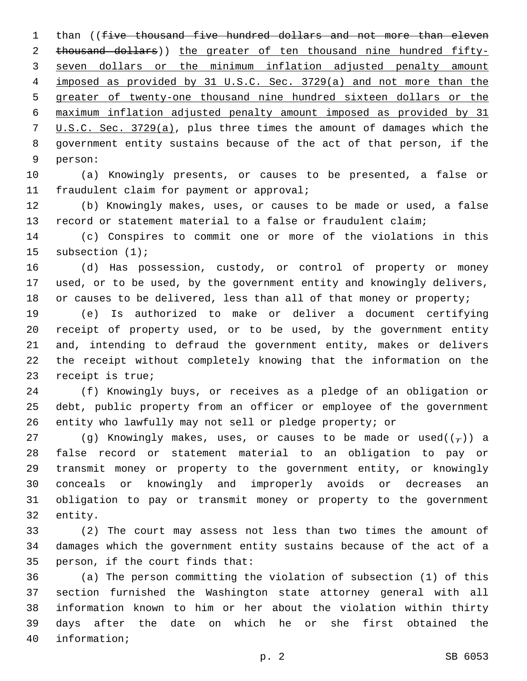1 than ((five thousand five hundred dollars and not more than eleven thousand dollars)) the greater of ten thousand nine hundred fifty- seven dollars or the minimum inflation adjusted penalty amount imposed as provided by 31 U.S.C. Sec. 3729(a) and not more than the greater of twenty-one thousand nine hundred sixteen dollars or the maximum inflation adjusted penalty amount imposed as provided by 31 U.S.C. Sec. 3729(a), plus three times the amount of damages which the government entity sustains because of the act of that person, if the 9 person:

 (a) Knowingly presents, or causes to be presented, a false or 11 fraudulent claim for payment or approval;

 (b) Knowingly makes, uses, or causes to be made or used, a false record or statement material to a false or fraudulent claim;

 (c) Conspires to commit one or more of the violations in this 15 subsection (1);

 (d) Has possession, custody, or control of property or money used, or to be used, by the government entity and knowingly delivers, 18 or causes to be delivered, less than all of that money or property;

 (e) Is authorized to make or deliver a document certifying receipt of property used, or to be used, by the government entity and, intending to defraud the government entity, makes or delivers the receipt without completely knowing that the information on the 23 receipt is true;

 (f) Knowingly buys, or receives as a pledge of an obligation or debt, public property from an officer or employee of the government entity who lawfully may not sell or pledge property; or

27 (g) Knowingly makes, uses, or causes to be made or used( $(\tau)$ ) a false record or statement material to an obligation to pay or transmit money or property to the government entity, or knowingly conceals or knowingly and improperly avoids or decreases an obligation to pay or transmit money or property to the government 32 entity.

 (2) The court may assess not less than two times the amount of damages which the government entity sustains because of the act of a 35 person, if the court finds that:

 (a) The person committing the violation of subsection (1) of this section furnished the Washington state attorney general with all information known to him or her about the violation within thirty days after the date on which he or she first obtained the 40 information;